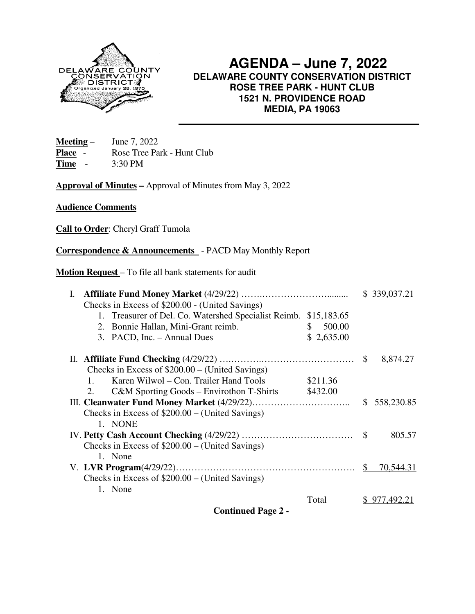

 **AGENDA – June 7, 2022 DELAWARE COUNTY CONSERVATION DISTRICT ROSE TREE PARK - HUNT CLUB 1521 N. PROVIDENCE ROAD MEDIA, PA 19063**

**Meeting** – June 7, 2022 Place - Rose Tree Park - Hunt Club **Time** - 3:30 PM

**Approval of Minutes –** Approval of Minutes from May 3, 2022

**Audience Comments** 

**Call to Order**: Cheryl Graff Tumola

**Correspondence & Announcements** - PACD May Monthly Report

**Motion Request** – To file all bank statements for audit

|                                                      |              |               | \$339,037.21 |
|------------------------------------------------------|--------------|---------------|--------------|
| Checks in Excess of \$200.00 - (United Savings)      |              |               |              |
| 1. Treasurer of Del. Co. Watershed Specialist Reimb. | \$15,183.65  |               |              |
| 2. Bonnie Hallan, Mini-Grant reimb.                  | 500.00<br>S. |               |              |
| 3. PACD, Inc. - Annual Dues                          | \$2,635.00   |               |              |
|                                                      |              | <sup>\$</sup> | 8,874.27     |
| Checks in Excess of $$200.00 - (United Savings)$     |              |               |              |
| Karen Wilwol – Con. Trailer Hand Tools<br>$1_{-}$    | \$211.36     |               |              |
| $C&M$ Sporting Goods – Envirothon T-Shirts<br>2.     | \$432.00     |               |              |
|                                                      |              |               | \$558,230.85 |
| Checks in Excess of $$200.00 - (United Savings)$     |              |               |              |
| 1. NONE                                              |              |               |              |
|                                                      |              |               | 805.57       |
| Checks in Excess of $$200.00 - (United Savings)$     |              |               |              |
| 1. None                                              |              |               |              |
|                                                      |              | \$            | 70,544.31    |
| Checks in Excess of $$200.00 - (United Savings)$     |              |               |              |
| 1. None                                              |              |               |              |
|                                                      | Total        |               | 977,492.21   |
| <b>Continued Page 2 -</b>                            |              |               |              |